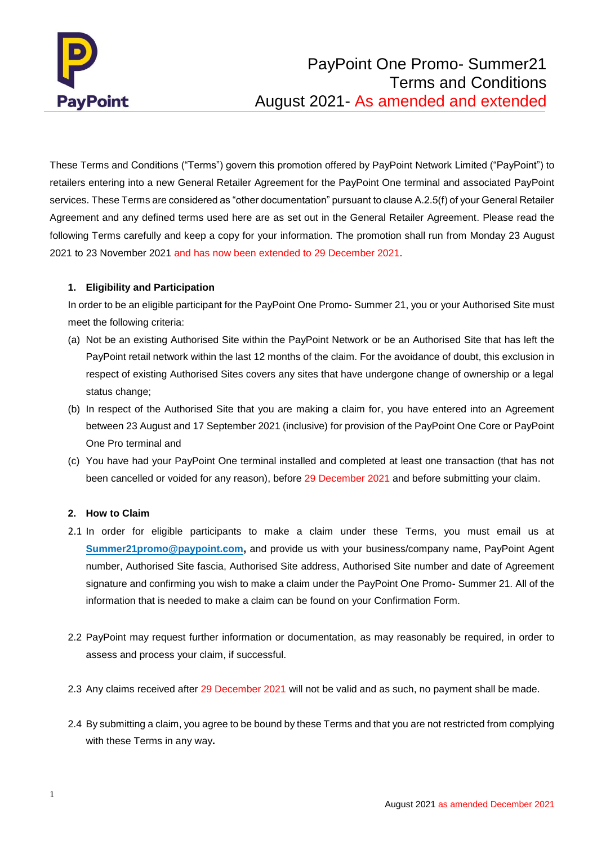

These Terms and Conditions ("Terms") govern this promotion offered by PayPoint Network Limited ("PayPoint") to retailers entering into a new General Retailer Agreement for the PayPoint One terminal and associated PayPoint services. These Terms are considered as "other documentation" pursuant to clause A.2.5(f) of your General Retailer Agreement and any defined terms used here are as set out in the General Retailer Agreement. Please read the following Terms carefully and keep a copy for your information. The promotion shall run from Monday 23 August 2021 to 23 November 2021 and has now been extended to 29 December 2021.

## **1. Eligibility and Participation**

In order to be an eligible participant for the PayPoint One Promo- Summer 21, you or your Authorised Site must meet the following criteria:

- (a) Not be an existing Authorised Site within the PayPoint Network or be an Authorised Site that has left the PayPoint retail network within the last 12 months of the claim. For the avoidance of doubt, this exclusion in respect of existing Authorised Sites covers any sites that have undergone change of ownership or a legal status change;
- (b) In respect of the Authorised Site that you are making a claim for, you have entered into an Agreement between 23 August and 17 September 2021 (inclusive) for provision of the PayPoint One Core or PayPoint One Pro terminal and
- (c) You have had your PayPoint One terminal installed and completed at least one transaction (that has not been cancelled or voided for any reason), before 29 December 2021 and before submitting your claim.

## **2. How to Claim**

- 2.1 In order for eligible participants to make a claim under these Terms, you must email us at [Summer21promo@paypoint.com,](mailto:Summer21promo@paypoint.com) and provide us with your business/company name, PayPoint Agent number, Authorised Site fascia, Authorised Site address, Authorised Site number and date of Agreement signature and confirming you wish to make a claim under the PayPoint One Promo- Summer 21. All of the information that is needed to make a claim can be found on your Confirmation Form.
- 2.2 PayPoint may request further information or documentation, as may reasonably be required, in order to assess and process your claim, if successful.
- 2.3 Any claims received after 29 December 2021 will not be valid and as such, no payment shall be made.
- 2.4 By submitting a claim, you agree to be bound by these Terms and that you are not restricted from complying with these Terms in any way**.**